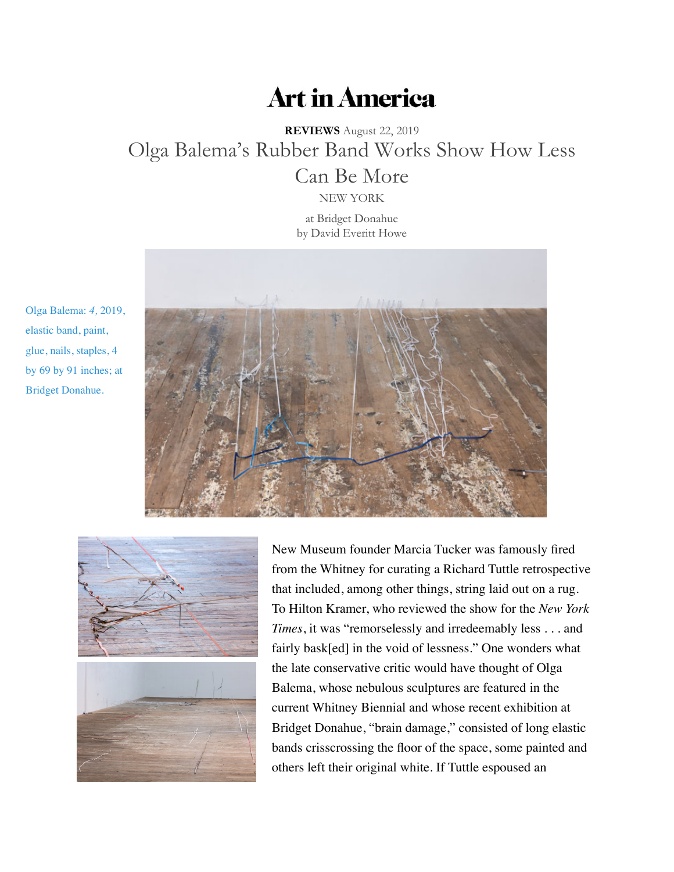## **Art in America**

**REVIEWS** August 22, 2019 Olga Balema's Rubber Band Works Show How Less Can Be More

[NEW YORK](https://www.artinamericamagazine.com/author/david-everitt-howe/) at Bridget Donahue by David Everitt Howe



Olga Balema: *4,* 2019, elastic band, paint, glue, nails, staples, 4 by 69 by 91 inches; at Bridget Donahue.



New Museum founder Marcia Tucker was famously fired from the Whitney for curating a Richard Tuttle retrospective that included, among other things, string laid out on a rug. To Hilton Kramer, who reviewed the show for the *New York Times*, it was "remorselessly and irredeemably less . . . and fairly bask[ed] in the void of lessness." One wonders what the late conservative critic would have thought of Olga Balema, whose nebulous sculptures are featured in the current Whitney Biennial and whose recent exhibition at Bridget Donahue, "brain damage," consisted of long elastic bands crisscrossing the floor of the space, some painted and others left their original white. If Tuttle espoused an